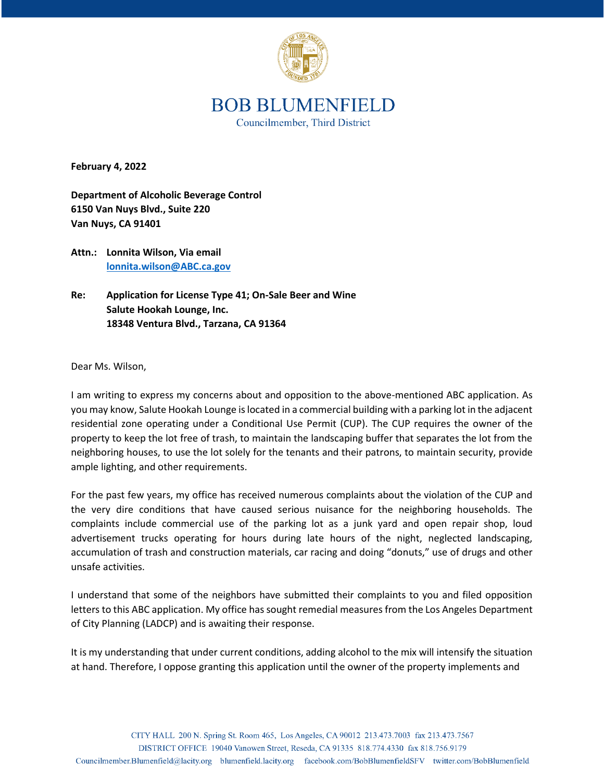

## **BOB BLUMENFIELD** Councilmember, Third District

**February 4, 2022**

**Department of Alcoholic Beverage Control 6150 Van Nuys Blvd., Suite 220 Van Nuys, CA 91401**

**Attn.: Lonnita Wilson, Via email [lonnita.wilson@ABC.ca.gov](mailto:lonnita.wilson@ABC.ca.gov)**

**Re: Application for License Type 41; On-Sale Beer and Wine Salute Hookah Lounge, Inc. 18348 Ventura Blvd., Tarzana, CA 91364**

Dear Ms. Wilson,

I am writing to express my concerns about and opposition to the above-mentioned ABC application. As you may know, Salute Hookah Lounge is located in a commercial building with a parking lot in the adjacent residential zone operating under a Conditional Use Permit (CUP). The CUP requires the owner of the property to keep the lot free of trash, to maintain the landscaping buffer that separates the lot from the neighboring houses, to use the lot solely for the tenants and their patrons, to maintain security, provide ample lighting, and other requirements.

For the past few years, my office has received numerous complaints about the violation of the CUP and the very dire conditions that have caused serious nuisance for the neighboring households. The complaints include commercial use of the parking lot as a junk yard and open repair shop, loud advertisement trucks operating for hours during late hours of the night, neglected landscaping, accumulation of trash and construction materials, car racing and doing "donuts," use of drugs and other unsafe activities.

I understand that some of the neighbors have submitted their complaints to you and filed opposition letters to this ABC application. My office has sought remedial measures from the Los Angeles Department of City Planning (LADCP) and is awaiting their response.

It is my understanding that under current conditions, adding alcohol to the mix will intensify the situation at hand. Therefore, I oppose granting this application until the owner of the property implements and